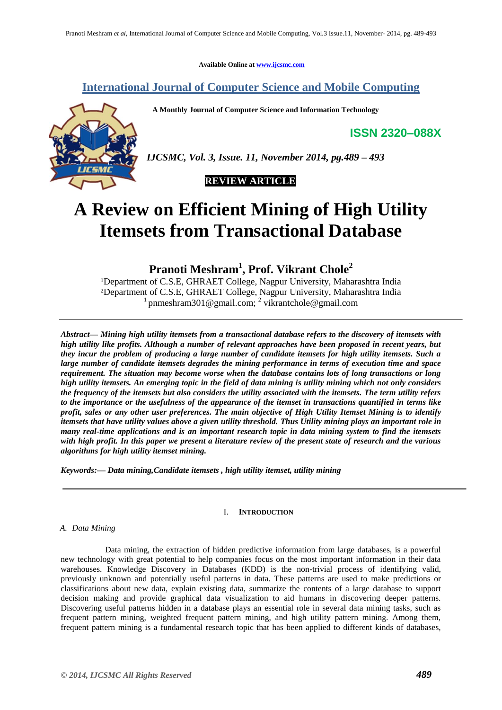**Available Online at [www.ijcsmc.com](http://www.ijcsmc.com/)**

**International Journal of Computer Science and Mobile Computing**

 **A Monthly Journal of Computer Science and Information Technology**

**ISSN 2320–088X**



*IJCSMC, Vol. 3, Issue. 11, November 2014, pg.489 – 493*



# **A Review on Efficient Mining of High Utility Itemsets from Transactional Database**

**Pranoti Meshram<sup>1</sup> , Prof. Vikrant Chole<sup>2</sup>**

<sup>1</sup>Department of C.S.E, GHRAET College, Nagpur University, Maharashtra India ²Department of C.S.E, GHRAET College, Nagpur University, Maharashtra India <sup>1</sup> pnmeshram301@gmail.com; <sup>2</sup> vikrantchol[e@gmail.com](mailto:name@xyz.com)

*Abstract— Mining high utility itemsets from a transactional database refers to the discovery of itemsets with high utility like profits. Although a number of relevant approaches have been proposed in recent years, but they incur the problem of producing a large number of candidate itemsets for high utility itemsets. Such a large number of candidate itemsets degrades the mining performance in terms of execution time and space requirement. The situation may become worse when the database contains lots of long transactions or long high utility itemsets. An emerging topic in the field of data mining is utility mining which not only considers the frequency of the itemsets but also considers the utility associated with the itemsets. The term utility refers to the importance or the usefulness of the appearance of the itemset in transactions quantified in terms like profit, sales or any other user preferences. The main objective of High Utility Itemset Mining is to identify itemsets that have utility values above a given utility threshold. Thus Utility mining plays an important role in many real-time applications and is an important research topic in data mining system to find the itemsets with high profit. In this paper we present a literature review of the present state of research and the various algorithms for high utility itemset mining.*

*Keywords:— Data mining,Candidate itemsets , high utility itemset, utility mining*

# I. **INTRODUCTION**

# *A. Data Mining*

 Data mining, the extraction of hidden predictive information from large databases, is a powerful new technology with great potential to help companies focus on the most important information in their data warehouses. Knowledge Discovery in Databases (KDD) is the non-trivial process of identifying valid, previously unknown and potentially useful patterns in data. These patterns are used to make predictions or classifications about new data, explain existing data, summarize the contents of a large database to support decision making and provide graphical data visualization to aid humans in discovering deeper patterns. Discovering useful patterns hidden in a database plays an essential role in several data mining tasks, such as frequent pattern mining, weighted frequent pattern mining, and high utility pattern mining. Among them, frequent pattern mining is a fundamental research topic that has been applied to different kinds of databases,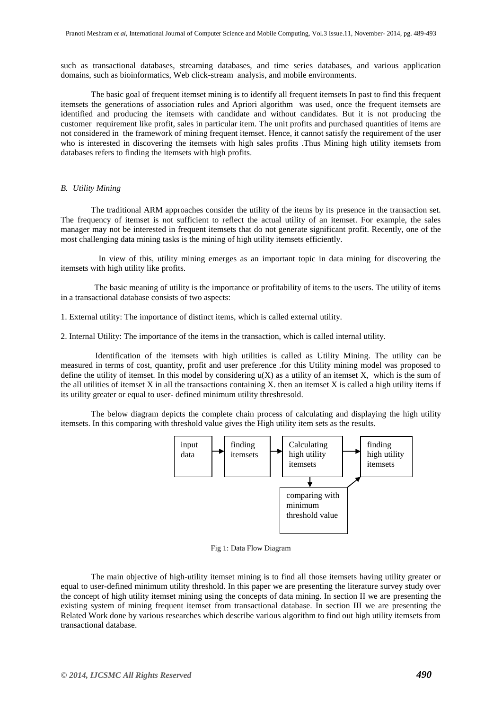such as transactional databases, streaming databases, and time series databases, and various application domains, such as bioinformatics, Web click-stream analysis, and mobile environments.

The basic goal of frequent itemset mining is to identify all frequent itemsets In past to find this frequent itemsets the generations of association rules and Apriori algorithm was used, once the frequent itemsets are identified and producing the itemsets with candidate and without candidates. But it is not producing the customer requirement like profit, sales in particular item. The unit profits and purchased quantities of items are not considered in the framework of mining frequent itemset. Hence, it cannot satisfy the requirement of the user who is interested in discovering the itemsets with high sales profits .Thus Mining high utility itemsets from databases refers to finding the itemsets with high profits.

## *B. Utility Mining*

The traditional ARM approaches consider the utility of the items by its presence in the transaction set. The frequency of itemset is not sufficient to reflect the actual utility of an itemset. For example, the sales manager may not be interested in frequent itemsets that do not generate significant profit. Recently, one of the most challenging data mining tasks is the mining of high utility itemsets efficiently.

 In view of this, utility mining emerges as an important topic in data mining for discovering the itemsets with high utility like profits.

 The basic meaning of utility is the importance or profitability of items to the users. The utility of items in a transactional database consists of two aspects:

1. External utility: The importance of distinct items, which is called external utility.

2. Internal Utility: The importance of the items in the transaction, which is called internal utility.

 Identification of the itemsets with high utilities is called as Utility Mining. The utility can be measured in terms of cost, quantity, profit and user preference .for this Utility mining model was proposed to define the utility of itemset. In this model by considering  $u(X)$  as a utility of an itemset X, which is the sum of the all utilities of itemset X in all the transactions containing X, then an itemset X is called a high utility items if its utility greater or equal to user- defined minimum utility threshresold.

The below diagram depicts the complete chain process of calculating and displaying the high utility itemsets. In this comparing with threshold value gives the High utility item sets as the results.



#### Fig 1: Data Flow Diagram

The main objective of high-utility itemset mining is to find all those itemsets having utility greater or equal to user-defined minimum utility threshold. In this paper we are presenting the literature survey study over the concept of high utility itemset mining using the concepts of data mining. In section II we are presenting the existing system of mining frequent itemset from transactional database. In section III we are presenting the Related Work done by various researches which describe various algorithm to find out high utility itemsets from transactional database.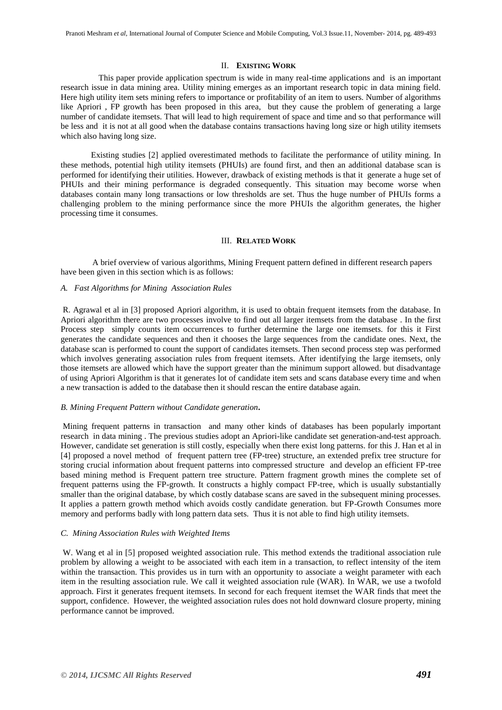## II. **EXISTING WORK**

 This paper provide application spectrum is wide in many real-time applications and is an important research issue in data mining area. Utility mining emerges as an important research topic in data mining field. Here high utility item sets mining refers to importance or profitability of an item to users. Number of algorithms like Apriori , FP growth has been proposed in this area, but they cause the problem of generating a large number of candidate itemsets. That will lead to high requirement of space and time and so that performance will be less and it is not at all good when the database contains transactions having long size or high utility itemsets which also having long size.

Existing studies [2] applied overestimated methods to facilitate the performance of utility mining. In these methods, potential high utility itemsets (PHUIs) are found first, and then an additional database scan is performed for identifying their utilities. However, drawback of existing methods is that it generate a huge set of PHUIs and their mining performance is degraded consequently. This situation may become worse when databases contain many long transactions or low thresholds are set. Thus the huge number of PHUIs forms a challenging problem to the mining performance since the more PHUIs the algorithm generates, the higher processing time it consumes.

## III. **RELATED WORK**

 A brief overview of various algorithms, Mining Frequent pattern defined in different research papers have been given in this section which is as follows:

## *A. Fast Algorithms for Mining Association Rules*

R. Agrawal et al in [3] proposed Apriori algorithm, it is used to obtain frequent itemsets from the database. In Apriori algorithm there are two processes involve to find out all larger itemsets from the database . In the first Process step simply counts item occurrences to further determine the large one itemsets. for this it First generates the candidate sequences and then it chooses the large sequences from the candidate ones. Next, the database scan is performed to count the support of candidates itemsets. Then second process step was performed which involves generating association rules from frequent itemsets. After identifying the large itemsets, only those itemsets are allowed which have the support greater than the minimum support allowed. but disadvantage of using Apriori Algorithm is that it generates lot of candidate item sets and scans database every time and when a new transaction is added to the database then it should rescan the entire database again.

#### *B. Mining Frequent Pattern without Candidate generation***.**

Mining frequent patterns in transaction and many other kinds of databases has been popularly important research in data mining . The previous studies adopt an Apriori-like candidate set generation-and-test approach. However, candidate set generation is still costly, especially when there exist long patterns. for this J. Han et al in [4] proposed a novel method of frequent pattern tree (FP-tree) structure, an extended prefix tree structure for storing crucial information about frequent patterns into compressed structure and develop an efficient FP-tree based mining method is Frequent pattern tree structure. Pattern fragment growth mines the complete set of frequent patterns using the FP-growth. It constructs a highly compact FP-tree, which is usually substantially smaller than the original database, by which costly database scans are saved in the subsequent mining processes. It applies a pattern growth method which avoids costly candidate generation. but FP-Growth Consumes more memory and performs badly with long pattern data sets. Thus it is not able to find high utility itemsets.

## *C. Mining Association Rules with Weighted Items*

W. Wang et al in [5] proposed weighted association rule. This method extends the traditional association rule problem by allowing a weight to be associated with each item in a transaction, to reflect intensity of the item within the transaction. This provides us in turn with an opportunity to associate a weight parameter with each item in the resulting association rule. We call it weighted association rule (WAR). In WAR, we use a twofold approach. First it generates frequent itemsets. In second for each frequent itemset the WAR finds that meet the support, confidence. However, the weighted association rules does not hold downward closure property, mining performance cannot be improved.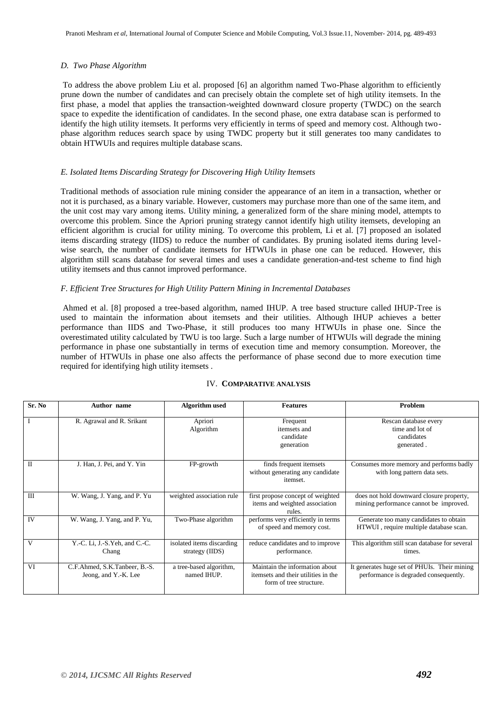## *D. Two Phase Algorithm*

To address the above problem Liu et al. proposed [6] an algorithm named Two-Phase algorithm to efficiently prune down the number of candidates and can precisely obtain the complete set of high utility itemsets. In the first phase, a model that applies the transaction-weighted downward closure property (TWDC) on the search space to expedite the identification of candidates. In the second phase, one extra database scan is performed to identify the high utility itemsets. It performs very efficiently in terms of speed and memory cost. Although twophase algorithm reduces search space by using TWDC property but it still generates too many candidates to obtain HTWUIs and requires multiple database scans.

## *E. Isolated Items Discarding Strategy for Discovering High Utility Itemsets*

Traditional methods of association rule mining consider the appearance of an item in a transaction, whether or not it is purchased, as a binary variable. However, customers may purchase more than one of the same item, and the unit cost may vary among items. Utility mining, a generalized form of the share mining model, attempts to overcome this problem. Since the Apriori pruning strategy cannot identify high utility itemsets, developing an efficient algorithm is crucial for utility mining. To overcome this problem, Li et al. [7] proposed an isolated items discarding strategy (IIDS) to reduce the number of candidates. By pruning isolated items during levelwise search, the number of candidate itemsets for HTWUIs in phase one can be reduced. However, this algorithm still scans database for several times and uses a candidate generation-and-test scheme to find high utility itemsets and thus cannot improved performance.

## *F. Efficient Tree Structures for High Utility Pattern Mining in Incremental Databases*

Ahmed et al. [8] proposed a tree-based algorithm, named IHUP. A tree based structure called IHUP-Tree is used to maintain the information about itemsets and their utilities. Although IHUP achieves a better performance than IIDS and Two-Phase, it still produces too many HTWUIs in phase one. Since the overestimated utility calculated by TWU is too large. Such a large number of HTWUIs will degrade the mining performance in phase one substantially in terms of execution time and memory consumption. Moreover, the number of HTWUIs in phase one also affects the performance of phase second due to more execution time required for identifying high utility itemsets .

| Sr. No    | Author name                                           | <b>Algorithm</b> used                        | <b>Features</b>                                                                                  | Problem                                                                               |
|-----------|-------------------------------------------------------|----------------------------------------------|--------------------------------------------------------------------------------------------------|---------------------------------------------------------------------------------------|
|           | R. Agrawal and R. Srikant                             | Apriori<br>Algorithm                         | Frequent<br>itemsets and<br>candidate<br>generation                                              | Rescan database every<br>time and lot of<br>candidates<br>generated.                  |
| $\Pi$     | J. Han, J. Pei, and Y. Yin                            | FP-growth                                    | finds frequent itemsets<br>without generating any candidate<br>itemset.                          | Consumes more memory and performs badly<br>with long pattern data sets.               |
| III       | W. Wang, J. Yang, and P. Yu                           | weighted association rule                    | first propose concept of weighted<br>items and weighted association<br>rules.                    | does not hold downward closure property,<br>mining performance cannot be improved.    |
| <b>IV</b> | W. Wang, J. Yang, and P. Yu,                          | Two-Phase algorithm                          | performs very efficiently in terms<br>of speed and memory cost.                                  | Generate too many candidates to obtain<br>HTWUI, require multiple database scan.      |
| V         | Y.-C. Li, J.-S.Yeh, and C.-C.<br>Chang                | isolated items discarding<br>strategy (IIDS) | reduce candidates and to improve<br>performance.                                                 | This algorithm still scan database for several<br>times.                              |
| VI        | C.F.Ahmed, S.K.Tanbeer, B.-S.<br>Jeong, and Y.-K. Lee | a tree-based algorithm,<br>named IHUP.       | Maintain the information about<br>itemsets and their utilities in the<br>form of tree structure. | It generates huge set of PHUIs. Their mining<br>performance is degraded consequently. |

## IV. **COMPARATIVE ANALYSIS**